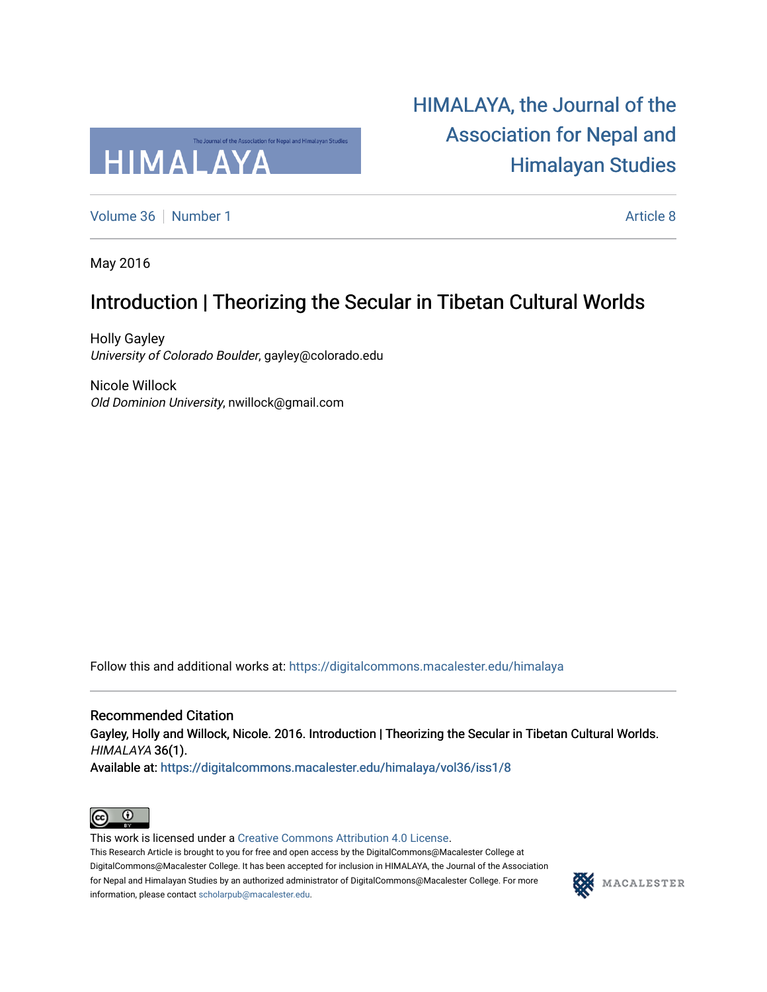

[HIMALAYA, the Journal of the](https://digitalcommons.macalester.edu/himalaya)  [Association for Nepal and](https://digitalcommons.macalester.edu/himalaya)  [Himalayan Studies](https://digitalcommons.macalester.edu/himalaya) 

[Volume 36](https://digitalcommons.macalester.edu/himalaya/vol36) [Number 1](https://digitalcommons.macalester.edu/himalaya/vol36/iss1) [Article 8](https://digitalcommons.macalester.edu/himalaya/vol36/iss1/8) Article 8

May 2016

### Introduction | Theorizing the Secular in Tibetan Cultural Worlds

Holly Gayley University of Colorado Boulder, gayley@colorado.edu

Nicole Willock Old Dominion University, nwillock@gmail.com

Follow this and additional works at: [https://digitalcommons.macalester.edu/himalaya](https://digitalcommons.macalester.edu/himalaya?utm_source=digitalcommons.macalester.edu%2Fhimalaya%2Fvol36%2Fiss1%2F8&utm_medium=PDF&utm_campaign=PDFCoverPages)

Recommended Citation Gayley, Holly and Willock, Nicole. 2016. Introduction | Theorizing the Secular in Tibetan Cultural Worlds. HIMALAYA 36(1).

Available at: https:/[/digitalcommons.macalester.edu/himala](https://digitalcommons.macalester.edu/himalaya/vol36/iss1/8?utm_source=digitalcommons.macalester.edu%2Fhimalaya%2Fvol36%2Fiss1%2F8&utm_medium=PDF&utm_campaign=PDFCoverPages)ya/vol36/iss1/8



This work is licensed under a [Creative Commons Attribution 4.0 License](https://creativecommons.org/licenses/by/4.0/). This Research Article is brought to you for free and open access by the DigitalCommons@Macalester College at DigitalCommons@Macalester College. It has been accepted for inclusion in HIMALAYA, the Journal of the Association

information, please contact [scholarpub@macalester.edu](mailto:scholarpub@macalester.edu).

for Nepal and Himalayan Studies by an authorized administrator of DigitalCommons@Macalester College. For more

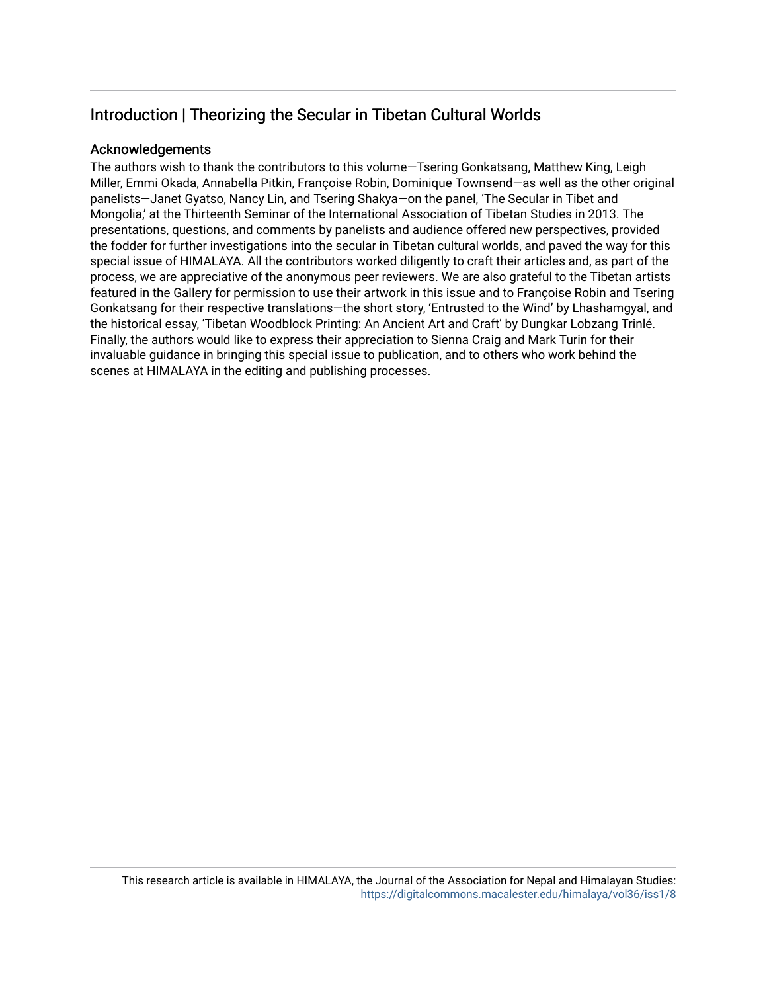### Introduction | Theorizing the Secular in Tibetan Cultural Worlds

#### Acknowledgements

The authors wish to thank the contributors to this volume—Tsering Gonkatsang, Matthew King, Leigh Miller, Emmi Okada, Annabella Pitkin, Françoise Robin, Dominique Townsend—as well as the other original panelists—Janet Gyatso, Nancy Lin, and Tsering Shakya—on the panel, 'The Secular in Tibet and Mongolia,' at the Thirteenth Seminar of the International Association of Tibetan Studies in 2013. The presentations, questions, and comments by panelists and audience offered new perspectives, provided the fodder for further investigations into the secular in Tibetan cultural worlds, and paved the way for this special issue of HIMALAYA. All the contributors worked diligently to craft their articles and, as part of the process, we are appreciative of the anonymous peer reviewers. We are also grateful to the Tibetan artists featured in the Gallery for permission to use their artwork in this issue and to Françoise Robin and Tsering Gonkatsang for their respective translations—the short story, 'Entrusted to the Wind' by Lhashamgyal, and the historical essay, 'Tibetan Woodblock Printing: An Ancient Art and Craft' by Dungkar Lobzang Trinlé. Finally, the authors would like to express their appreciation to Sienna Craig and Mark Turin for their invaluable guidance in bringing this special issue to publication, and to others who work behind the scenes at HIMALAYA in the editing and publishing processes.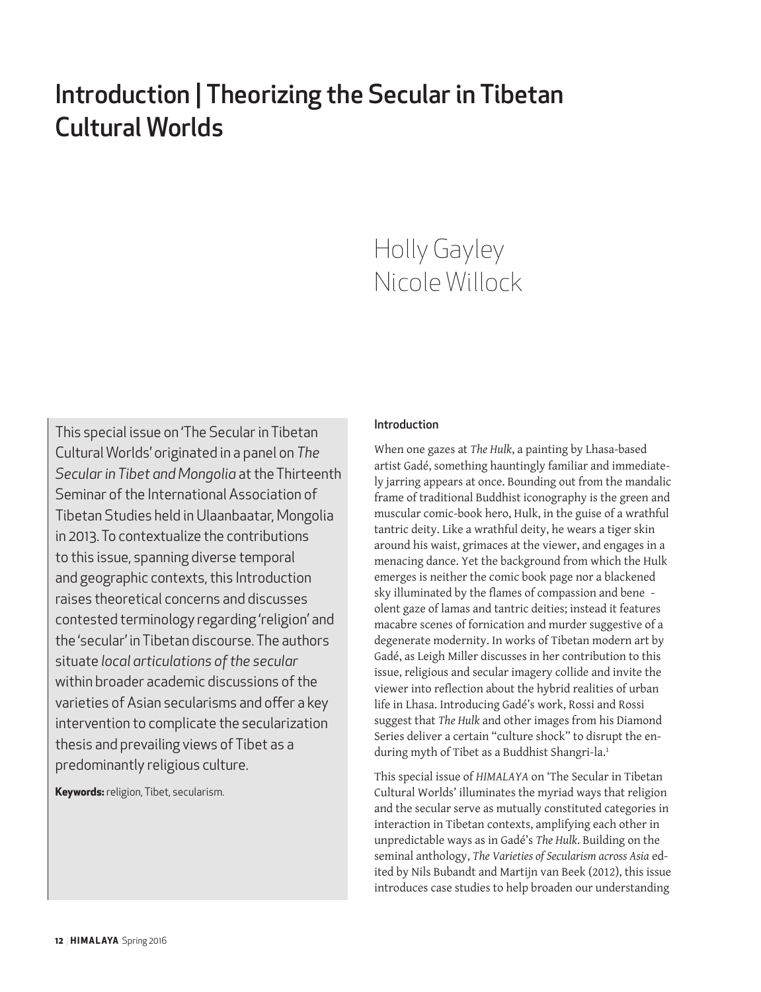# Introduction | Theorizing the Secular in Tibetan Cultural Worlds

# Holly Gayley Nicole Willock

This special issue on 'The Secular in Tibetan Cultural Worlds' originated in a panel on *The Secular in Tibet and Mongolia* at the Thirteenth Seminar of the International Association of Tibetan Studies held in Ulaanbaatar, Mongolia in 2013. To contextualize the contributions to this issue, spanning diverse temporal and geographic contexts, this Introduction raises theoretical concerns and discusses contested terminology regarding 'religion' and the 'secular' in Tibetan discourse. The authors situate *local articulations of the secular*  within broader academic discussions of the varieties of Asian secularisms and offer a key intervention to complicate the secularization thesis and prevailing views of Tibet as a predominantly religious culture.

**Keywords:** religion, Tibet, secularism.

#### Introduction

When one gazes at *The Hulk*, a painting by Lhasa-based artist Gadé, something hauntingly familiar and immediately jarring appears at once. Bounding out from the mandalic frame of traditional Buddhist iconography is the green and muscular comic-book hero, Hulk, in the guise of a wrathful tantric deity. Like a wrathful deity, he wears a tiger skin around his waist, grimaces at the viewer, and engages in a menacing dance. Yet the background from which the Hulk emerges is neither the comic book page nor a blackened sky illuminated by the flames of compassion and bene olent gaze of lamas and tantric deities; instead it features macabre scenes of fornication and murder suggestive of a degenerate modernity. In works of Tibetan modern art by Gadé, as Leigh Miller discusses in her contribution to this issue, religious and secular imagery collide and invite the viewer into reflection about the hybrid realities of urban life in Lhasa. Introducing Gadé's work, Rossi and Rossi suggest that *The Hulk* and other images from his Diamond Series deliver a certain "culture shock" to disrupt the enduring myth of Tibet as a Buddhist Shangri-la.<sup>1</sup>

This special issue of *HIMALAYA* on 'The Secular in Tibetan Cultural Worlds' illuminates the myriad ways that religion and the secular serve as mutually constituted categories in interaction in Tibetan contexts, amplifying each other in unpredictable ways as in Gadé's *The Hulk*. Building on the seminal anthology, *The Varieties of Secularism across Asia* edited by Nils Bubandt and Martijn van Beek (2012), this issue introduces case studies to help broaden our understanding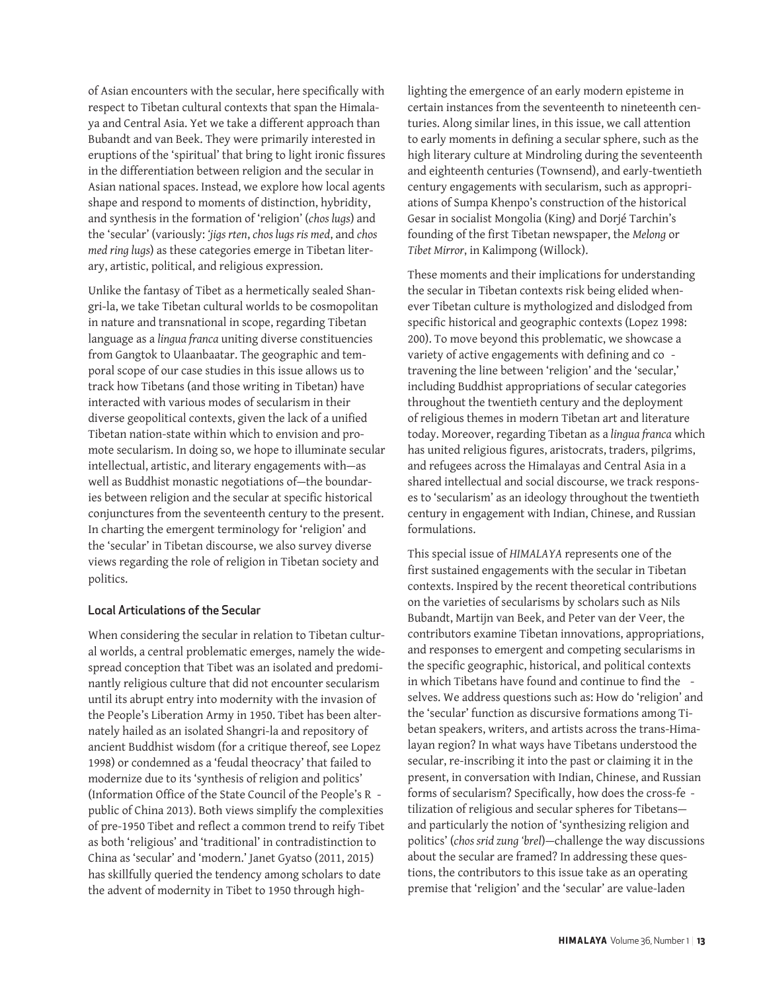of Asian encounters with the secular, here specifically with respect to Tibetan cultural contexts that span the Himalaya and Central Asia. Yet we take a different approach than Bubandt and van Beek. They were primarily interested in eruptions of the 'spiritual' that bring to light ironic fissures in the differentiation between religion and the secular in Asian national spaces. Instead, we explore how local agents shape and respond to moments of distinction, hybridity, and synthesis in the formation of 'religion' (*chos lugs*) and the 'secular' (variously: *'jigs rten*, *chos lugs ris med*, and *chos med ring lugs*) as these categories emerge in Tibetan literary, artistic, political, and religious expression.

Unlike the fantasy of Tibet as a hermetically sealed Shangri-la, we take Tibetan cultural worlds to be cosmopolitan in nature and transnational in scope, regarding Tibetan language as a *lingua franca* uniting diverse constituencies from Gangtok to Ulaanbaatar. The geographic and temporal scope of our case studies in this issue allows us to track how Tibetans (and those writing in Tibetan) have interacted with various modes of secularism in their diverse geopolitical contexts, given the lack of a unified Tibetan nation-state within which to envision and promote secularism. In doing so, we hope to illuminate secular intellectual, artistic, and literary engagements with—as well as Buddhist monastic negotiations of—the boundaries between religion and the secular at specific historical conjunctures from the seventeenth century to the present. In charting the emergent terminology for 'religion' and the 'secular' in Tibetan discourse, we also survey diverse views regarding the role of religion in Tibetan society and politics.

#### Local Articulations of the Secular

When considering the secular in relation to Tibetan cultural worlds, a central problematic emerges, namely the widespread conception that Tibet was an isolated and predominantly religious culture that did not encounter secularism until its abrupt entry into modernity with the invasion of the People's Liberation Army in 1950. Tibet has been alternately hailed as an isolated Shangri-la and repository of ancient Buddhist wisdom (for a critique thereof, see Lopez 1998) or condemned as a 'feudal theocracy' that failed to modernize due to its 'synthesis of religion and politics' (Information Office of the State Council of the People's R public of China 2013). Both views simplify the complexities of pre-1950 Tibet and reflect a common trend to reify Tibet as both 'religious' and 'traditional' in contradistinction to China as 'secular' and 'modern.' Janet Gyatso (2011, 2015) has skillfully queried the tendency among scholars to date the advent of modernity in Tibet to 1950 through high-

lighting the emergence of an early modern episteme in certain instances from the seventeenth to nineteenth centuries. Along similar lines, in this issue, we call attention to early moments in defining a secular sphere, such as the high literary culture at Mindroling during the seventeenth and eighteenth centuries (Townsend), and early-twentieth century engagements with secularism, such as appropriations of Sumpa Khenpo's construction of the historical Gesar in socialist Mongolia (King) and Dorjé Tarchin's founding of the first Tibetan newspaper, the *Melong* or *Tibet Mirror*, in Kalimpong (Willock).

These moments and their implications for understanding the secular in Tibetan contexts risk being elided whenever Tibetan culture is mythologized and dislodged from specific historical and geographic contexts (Lopez 1998: 200). To move beyond this problematic, we showcase a variety of active engagements with defining and co travening the line between 'religion' and the 'secular,' including Buddhist appropriations of secular categories throughout the twentieth century and the deployment of religious themes in modern Tibetan art and literature today. Moreover, regarding Tibetan as a *lingua franca* which has united religious figures, aristocrats, traders, pilgrims, and refugees across the Himalayas and Central Asia in a shared intellectual and social discourse, we track responses to 'secularism' as an ideology throughout the twentieth century in engagement with Indian, Chinese, and Russian formulations.

This special issue of *HIMALAYA* represents one of the first sustained engagements with the secular in Tibetan contexts. Inspired by the recent theoretical contributions on the varieties of secularisms by scholars such as Nils Bubandt, Martijn van Beek, and Peter van der Veer, the contributors examine Tibetan innovations, appropriations, and responses to emergent and competing secularisms in the specific geographic, historical, and political contexts in which Tibetans have found and continue to find the selves. We address questions such as: How do 'religion' and the 'secular' function as discursive formations among Tibetan speakers, writers, and artists across the trans-Himalayan region? In what ways have Tibetans understood the secular, re-inscribing it into the past or claiming it in the present, in conversation with Indian, Chinese, and Russian forms of secularism? Specifically, how does the cross-fe tilization of religious and secular spheres for Tibetans and particularly the notion of 'synthesizing religion and politics' (*chos srid zung 'brel*)—challenge the way discussions about the secular are framed? In addressing these questions, the contributors to this issue take as an operating premise that 'religion' and the 'secular' are value-laden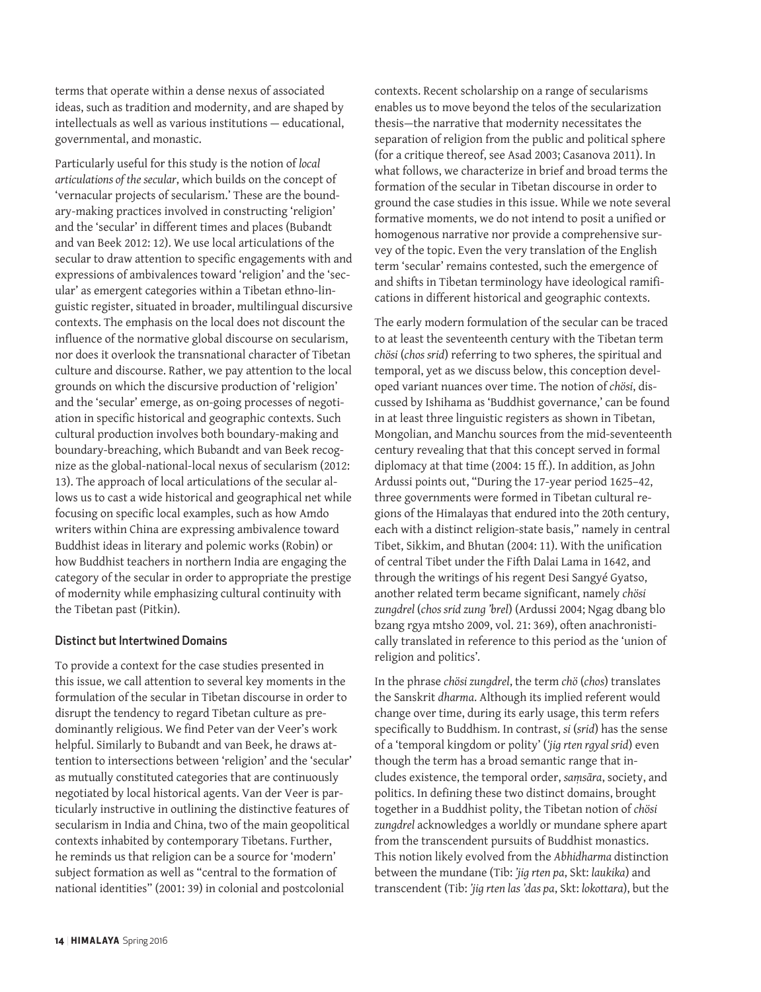terms that operate within a dense nexus of associated ideas, such as tradition and modernity, and are shaped by intellectuals as well as various institutions — educational, governmental, and monastic.

Particularly useful for this study is the notion of *local articulations of the secular*, which builds on the concept of 'vernacular projects of secularism.' These are the boundary-making practices involved in constructing 'religion' and the 'secular' in different times and places (Bubandt and van Beek 2012: 12). We use local articulations of the secular to draw attention to specific engagements with and expressions of ambivalences toward 'religion' and the 'secular' as emergent categories within a Tibetan ethno-linguistic register, situated in broader, multilingual discursive contexts. The emphasis on the local does not discount the influence of the normative global discourse on secularism, nor does it overlook the transnational character of Tibetan culture and discourse. Rather, we pay attention to the local grounds on which the discursive production of 'religion' and the 'secular' emerge, as on-going processes of negotiation in specific historical and geographic contexts. Such cultural production involves both boundary-making and boundary-breaching, which Bubandt and van Beek recognize as the global-national-local nexus of secularism (2012: 13). The approach of local articulations of the secular allows us to cast a wide historical and geographical net while focusing on specific local examples, such as how Amdo writers within China are expressing ambivalence toward Buddhist ideas in literary and polemic works (Robin) or how Buddhist teachers in northern India are engaging the category of the secular in order to appropriate the prestige of modernity while emphasizing cultural continuity with the Tibetan past (Pitkin).

#### Distinct but Intertwined Domains

To provide a context for the case studies presented in this issue, we call attention to several key moments in the formulation of the secular in Tibetan discourse in order to disrupt the tendency to regard Tibetan culture as predominantly religious. We find Peter van der Veer's work helpful. Similarly to Bubandt and van Beek, he draws attention to intersections between 'religion' and the 'secular' as mutually constituted categories that are continuously negotiated by local historical agents. Van der Veer is particularly instructive in outlining the distinctive features of secularism in India and China, two of the main geopolitical contexts inhabited by contemporary Tibetans. Further, he reminds us that religion can be a source for 'modern' subject formation as well as "central to the formation of national identities" (2001: 39) in colonial and postcolonial

contexts. Recent scholarship on a range of secularisms enables us to move beyond the telos of the secularization thesis—the narrative that modernity necessitates the separation of religion from the public and political sphere (for a critique thereof, see Asad 2003; Casanova 2011). In what follows, we characterize in brief and broad terms the formation of the secular in Tibetan discourse in order to ground the case studies in this issue. While we note several formative moments, we do not intend to posit a unified or homogenous narrative nor provide a comprehensive survey of the topic. Even the very translation of the English term 'secular' remains contested, such the emergence of and shifts in Tibetan terminology have ideological ramifications in different historical and geographic contexts.

The early modern formulation of the secular can be traced to at least the seventeenth century with the Tibetan term *chösi* (*chos srid*) referring to two spheres, the spiritual and temporal, yet as we discuss below, this conception developed variant nuances over time. The notion of *chösi*, discussed by Ishihama as 'Buddhist governance,' can be found in at least three linguistic registers as shown in Tibetan, Mongolian, and Manchu sources from the mid-seventeenth century revealing that that this concept served in formal diplomacy at that time (2004: 15 ff.). In addition, as John Ardussi points out, "During the 17-year period 1625–42, three governments were formed in Tibetan cultural regions of the Himalayas that endured into the 20th century, each with a distinct religion-state basis," namely in central Tibet, Sikkim, and Bhutan (2004: 11). With the unification of central Tibet under the Fifth Dalai Lama in 1642, and through the writings of his regent Desi Sangyé Gyatso, another related term became significant, namely *chösi zungdrel* (*chos srid zung 'brel*) (Ardussi 2004; Ngag dbang blo bzang rgya mtsho 2009, vol. 21: 369), often anachronistically translated in reference to this period as the 'union of religion and politics'*.* 

In the phrase *chösi zungdrel*, the term *chö* (*chos*) translates the Sanskrit *dharma*. Although its implied referent would change over time, during its early usage, this term refers specifically to Buddhism. In contrast, *si* (*srid*) has the sense of a 'temporal kingdom or polity' (*'jig rten rgyal srid*) even though the term has a broad semantic range that includes existence, the temporal order, *saṃsāra*, society, and politics. In defining these two distinct domains, brought together in a Buddhist polity, the Tibetan notion of *chösi zungdrel* acknowledges a worldly or mundane sphere apart from the transcendent pursuits of Buddhist monastics. This notion likely evolved from the *Abhidharma* distinction between the mundane (Tib: *'jig rten pa*, Skt: *laukika*) and transcendent (Tib: *'jig rten las 'das pa*, Skt: *lokottara*), but the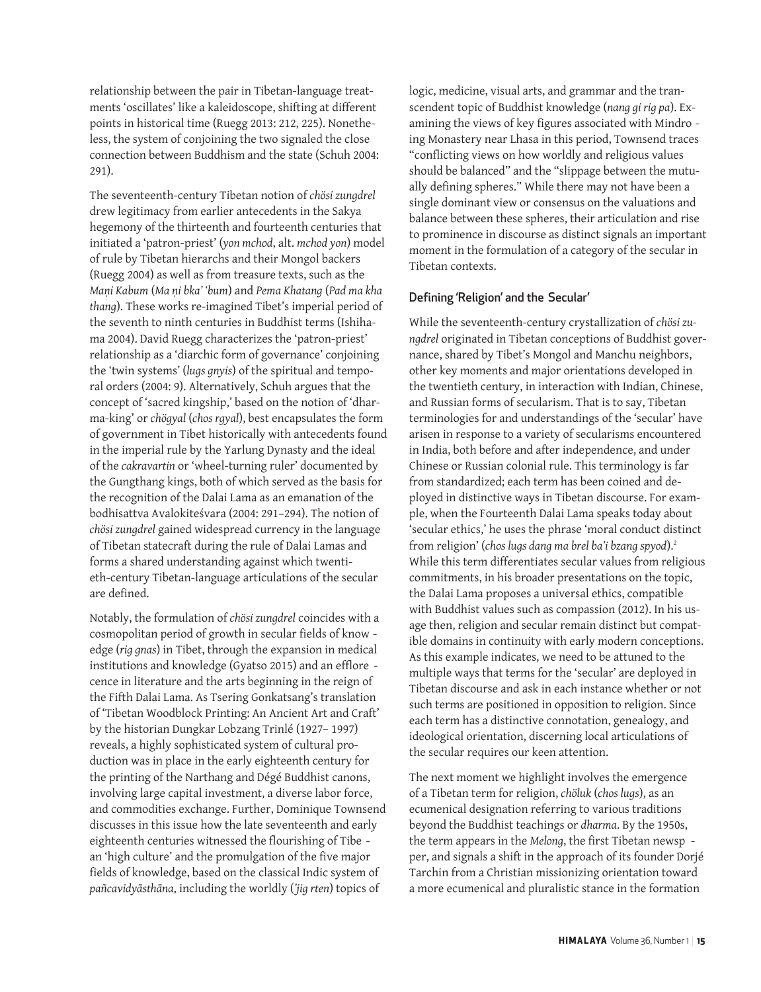relationship between the pair in Tibetan-language treatments 'oscillates' like a kaleidoscope, shifting at different points in historical time (Ruegg 2013: 212, 225). Nonetheless, the system of conjoining the two signaled the close connection between Buddhism and the state (Schuh 2004: 291).

The seventeenth-century Tibetan notion of *chösi zungdrel* drew legitimacy from earlier antecedents in the Sakya hegemony of the thirteenth and fourteenth centuries that initiated a 'patron-priest' (*yon mchod*, alt. *mchod yon*) model of rule by Tibetan hierarchs and their Mongol backers (Ruegg 2004) as well as from treasure texts, such as the *Maṇi Kabum* (*Ma ṇi bka' 'bum*) and *Pema Khatang* (*Pad ma kha thang*). These works re-imagined Tibet's imperial period of the seventh to ninth centuries in Buddhist terms (Ishihama 2004). David Ruegg characterizes the 'patron-priest' relationship as a 'diarchic form of governance' conjoining the 'twin systems' (*lugs gnyis*) of the spiritual and temporal orders (2004: 9). Alternatively, Schuh argues that the concept of 'sacred kingship,' based on the notion of 'dharma-king' or *chögyal* (*chos rgyal*), best encapsulates the form of government in Tibet historically with antecedents found in the imperial rule by the Yarlung Dynasty and the ideal of the *cakravartin* or 'wheel-turning ruler' documented by the Gungthang kings, both of which served as the basis for the recognition of the Dalai Lama as an emanation of the bodhisattva Avalokiteśvara (2004: 291–294). The notion of *chösi zungdrel* gained widespread currency in the language of Tibetan statecraft during the rule of Dalai Lamas and forms a shared understanding against which twentieth-century Tibetan-language articulations of the secular are defined.

Notably, the formulation of *chösi zungdrel* coincides with a cosmopolitan period of growth in secular fields of know edge (*rig gnas*) in Tibet, through the expansion in medical institutions and knowledge (Gyatso 2015) and an efflore cence in literature and the arts beginning in the reign of the Fifth Dalai Lama. As Tsering Gonkatsang's translation of 'Tibetan Woodblock Printing: An Ancient Art and Craft' by the historian Dungkar Lobzang Trinlé (1927– 1997) reveals, a highly sophisticated system of cultural production was in place in the early eighteenth century for the printing of the Narthang and Dégé Buddhist canons, involving large capital investment, a diverse labor force, and commodities exchange. Further, Dominique Townsend discusses in this issue how the late seventeenth and early eighteenth centuries witnessed the flourishing of Tibe an 'high culture' and the promulgation of the five major fields of knowledge, based on the classical Indic system of *pañcavidyāsthāna*, including the worldly (*'jig rten*) topics of

logic, medicine, visual arts, and grammar and the transcendent topic of Buddhist knowledge (*nang gi rig pa*). Examining the views of key figures associated with Mindro ing Monastery near Lhasa in this period, Townsend traces "conflicting views on how worldly and religious values should be balanced" and the "slippage between the mutually defining spheres." While there may not have been a single dominant view or consensus on the valuations and balance between these spheres, their articulation and rise to prominence in discourse as distinct signals an important moment in the formulation of a category of the secular in Tibetan contexts.

#### Defining 'Religion' and the Secular'

While the seventeenth-century crystallization of *chösi zungdrel* originated in Tibetan conceptions of Buddhist governance, shared by Tibet's Mongol and Manchu neighbors, other key moments and major orientations developed in the twentieth century, in interaction with Indian, Chinese, and Russian forms of secularism. That is to say, Tibetan terminologies for and understandings of the 'secular' have arisen in response to a variety of secularisms encountered in India, both before and after independence, and under Chinese or Russian colonial rule. This terminology is far from standardized; each term has been coined and deployed in distinctive ways in Tibetan discourse. For example, when the Fourteenth Dalai Lama speaks today about 'secular ethics,' he uses the phrase 'moral conduct distinct from religion' (*chos lugs dang ma brel ba'i bzang spyod*).2 While this term differentiates secular values from religious commitments, in his broader presentations on the topic, the Dalai Lama proposes a universal ethics, compatible with Buddhist values such as compassion (2012). In his usage then, religion and secular remain distinct but compatible domains in continuity with early modern conceptions. As this example indicates, we need to be attuned to the multiple ways that terms for the 'secular' are deployed in Tibetan discourse and ask in each instance whether or not such terms are positioned in opposition to religion. Since each term has a distinctive connotation, genealogy, and ideological orientation, discerning local articulations of the secular requires our keen attention.

The next moment we highlight involves the emergence of a Tibetan term for religion, *chöluk* (*chos lugs*), as an ecumenical designation referring to various traditions beyond the Buddhist teachings or *dharma*. By the 1950s, the term appears in the *Melong*, the first Tibetan newsp per, and signals a shift in the approach of its founder Dorjé Tarchin from a Christian missionizing orientation toward a more ecumenical and pluralistic stance in the formation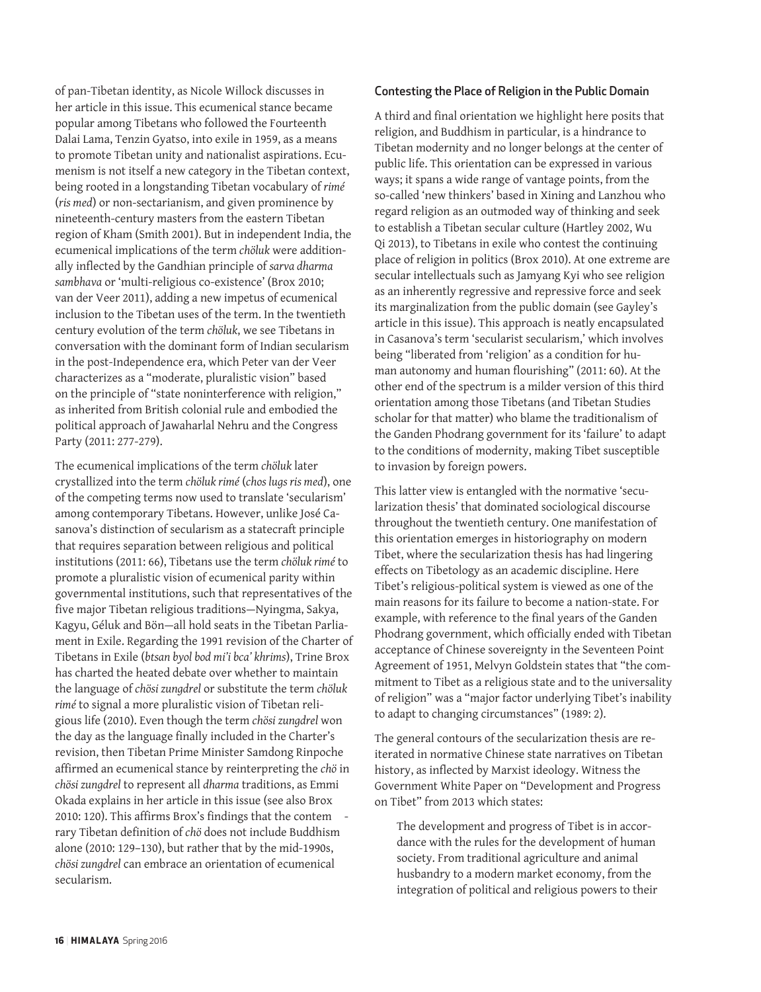of pan-Tibetan identity, as Nicole Willock discusses in her article in this issue. This ecumenical stance became popular among Tibetans who followed the Fourteenth Dalai Lama, Tenzin Gyatso, into exile in 1959, as a means to promote Tibetan unity and nationalist aspirations. Ecumenism is not itself a new category in the Tibetan context, being rooted in a longstanding Tibetan vocabulary of *rimé* (*ris med*) or non-sectarianism, and given prominence by nineteenth-century masters from the eastern Tibetan region of Kham (Smith 2001). But in independent India, the ecumenical implications of the term *chöluk* were additionally inflected by the Gandhian principle of *sarva dharma sambhava* or 'multi-religious co-existence' (Brox 2010; van der Veer 2011), adding a new impetus of ecumenical inclusion to the Tibetan uses of the term. In the twentieth century evolution of the term *chöluk*, we see Tibetans in conversation with the dominant form of Indian secularism in the post-Independence era, which Peter van der Veer characterizes as a "moderate, pluralistic vision" based on the principle of "state noninterference with religion," as inherited from British colonial rule and embodied the political approach of Jawaharlal Nehru and the Congress Party (2011: 277-279).

The ecumenical implications of the term *chöluk* later crystallized into the term *chöluk rimé* (*chos lugs ris med*), one of the competing terms now used to translate 'secularism' among contemporary Tibetans. However, unlike José Casanova's distinction of secularism as a statecraft principle that requires separation between religious and political institutions (2011: 66), Tibetans use the term *chöluk rimé* to promote a pluralistic vision of ecumenical parity within governmental institutions, such that representatives of the five major Tibetan religious traditions—Nyingma, Sakya, Kagyu, Géluk and Bön—all hold seats in the Tibetan Parliament in Exile. Regarding the 1991 revision of the Charter of Tibetans in Exile (*btsan byol bod mi'i bca' khrims*), Trine Brox has charted the heated debate over whether to maintain the language of *chösi zungdrel* or substitute the term *chöluk rimé* to signal a more pluralistic vision of Tibetan religious life (2010). Even though the term *chösi zungdrel* won the day as the language finally included in the Charter's revision, then Tibetan Prime Minister Samdong Rinpoche affirmed an ecumenical stance by reinterpreting the *chö* in *chösi zungdrel* to represent all *dharma* traditions, as Emmi Okada explains in her article in this issue (see also Brox 2010: 120). This affirms Brox's findings that the contem rary Tibetan definition of *chö* does not include Buddhism alone (2010: 129–130), but rather that by the mid-1990s, *chösi zungdrel* can embrace an orientation of ecumenical secularism.

#### Contesting the Place of Religion in the Public Domain

A third and final orientation we highlight here posits that religion, and Buddhism in particular, is a hindrance to Tibetan modernity and no longer belongs at the center of public life. This orientation can be expressed in various ways; it spans a wide range of vantage points, from the so-called 'new thinkers' based in Xining and Lanzhou who regard religion as an outmoded way of thinking and seek to establish a Tibetan secular culture (Hartley 2002, Wu Qi 2013), to Tibetans in exile who contest the continuing place of religion in politics (Brox 2010). At one extreme are secular intellectuals such as Jamyang Kyi who see religion as an inherently regressive and repressive force and seek its marginalization from the public domain (see Gayley's article in this issue). This approach is neatly encapsulated in Casanova's term 'secularist secularism,' which involves being "liberated from 'religion' as a condition for human autonomy and human flourishing" (2011: 60). At the other end of the spectrum is a milder version of this third orientation among those Tibetans (and Tibetan Studies scholar for that matter) who blame the traditionalism of the Ganden Phodrang government for its 'failure' to adapt to the conditions of modernity, making Tibet susceptible to invasion by foreign powers.

This latter view is entangled with the normative 'secularization thesis' that dominated sociological discourse throughout the twentieth century. One manifestation of this orientation emerges in historiography on modern Tibet, where the secularization thesis has had lingering effects on Tibetology as an academic discipline. Here Tibet's religious-political system is viewed as one of the main reasons for its failure to become a nation-state. For example, with reference to the final years of the Ganden Phodrang government, which officially ended with Tibetan acceptance of Chinese sovereignty in the Seventeen Point Agreement of 1951, Melvyn Goldstein states that "the commitment to Tibet as a religious state and to the universality of religion" was a "major factor underlying Tibet's inability to adapt to changing circumstances" (1989: 2).

The general contours of the secularization thesis are reiterated in normative Chinese state narratives on Tibetan history, as inflected by Marxist ideology. Witness the Government White Paper on "Development and Progress on Tibet" from 2013 which states:

The development and progress of Tibet is in accordance with the rules for the development of human society. From traditional agriculture and animal husbandry to a modern market economy, from the integration of political and religious powers to their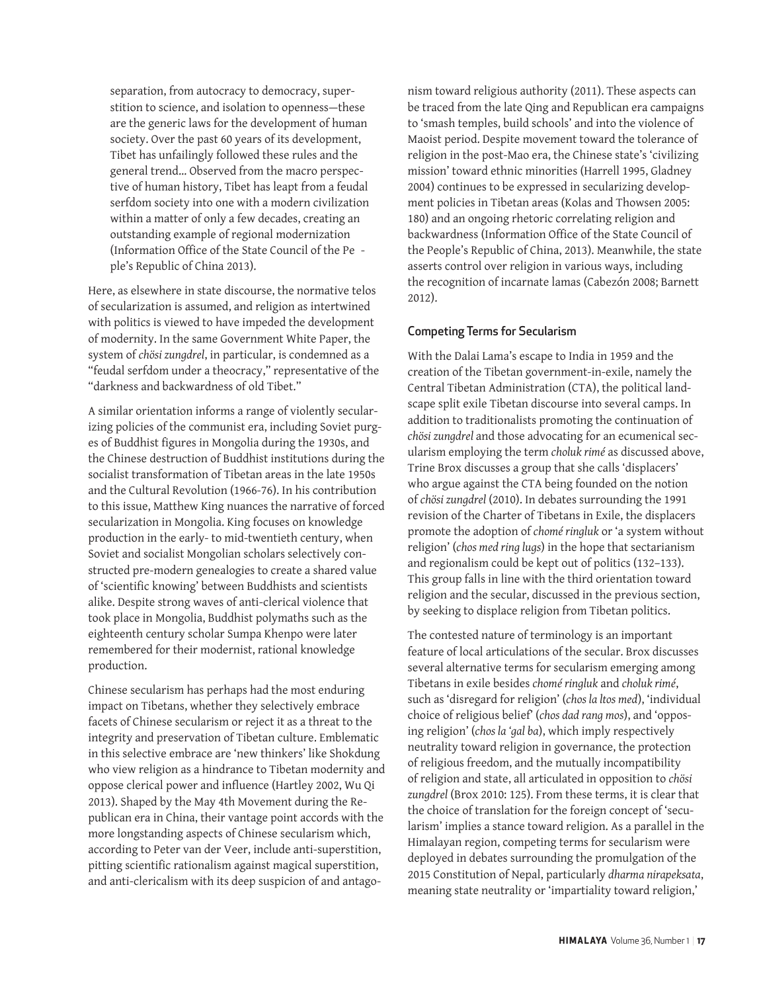separation, from autocracy to democracy, superstition to science, and isolation to openness—these are the generic laws for the development of human society. Over the past 60 years of its development, Tibet has unfailingly followed these rules and the general trend… Observed from the macro perspective of human history, Tibet has leapt from a feudal serfdom society into one with a modern civilization within a matter of only a few decades, creating an outstanding example of regional modernization (Information Office of the State Council of the Pe ple's Republic of China 2013).

Here, as elsewhere in state discourse, the normative telos of secularization is assumed, and religion as intertwined with politics is viewed to have impeded the development of modernity. In the same Government White Paper, the system of *chösi zungdrel*, in particular, is condemned as a "feudal serfdom under a theocracy," representative of the "darkness and backwardness of old Tibet."

A similar orientation informs a range of violently secularizing policies of the communist era, including Soviet purges of Buddhist figures in Mongolia during the 1930s, and the Chinese destruction of Buddhist institutions during the socialist transformation of Tibetan areas in the late 1950s and the Cultural Revolution (1966-76). In his contribution to this issue, Matthew King nuances the narrative of forced secularization in Mongolia. King focuses on knowledge production in the early- to mid-twentieth century, when Soviet and socialist Mongolian scholars selectively constructed pre-modern genealogies to create a shared value of 'scientific knowing' between Buddhists and scientists alike. Despite strong waves of anti-clerical violence that took place in Mongolia, Buddhist polymaths such as the eighteenth century scholar Sumpa Khenpo were later remembered for their modernist, rational knowledge production.

Chinese secularism has perhaps had the most enduring impact on Tibetans, whether they selectively embrace facets of Chinese secularism or reject it as a threat to the integrity and preservation of Tibetan culture. Emblematic in this selective embrace are 'new thinkers' like Shokdung who view religion as a hindrance to Tibetan modernity and oppose clerical power and influence (Hartley 2002, Wu Qi 2013). Shaped by the May 4th Movement during the Republican era in China, their vantage point accords with the more longstanding aspects of Chinese secularism which, according to Peter van der Veer, include anti-superstition, pitting scientific rationalism against magical superstition, and anti-clericalism with its deep suspicion of and antagonism toward religious authority (2011). These aspects can be traced from the late Qing and Republican era campaigns to 'smash temples, build schools' and into the violence of Maoist period. Despite movement toward the tolerance of religion in the post-Mao era, the Chinese state's 'civilizing mission' toward ethnic minorities (Harrell 1995, Gladney 2004) continues to be expressed in secularizing development policies in Tibetan areas (Kolas and Thowsen 2005: 180) and an ongoing rhetoric correlating religion and backwardness (Information Office of the State Council of the People's Republic of China, 2013). Meanwhile, the state asserts control over religion in various ways, including the recognition of incarnate lamas (Cabezón 2008; Barnett 2012).

#### Competing Terms for Secularism

With the Dalai Lama's escape to India in 1959 and the creation of the Tibetan government-in-exile, namely the Central Tibetan Administration (CTA), the political landscape split exile Tibetan discourse into several camps. In addition to traditionalists promoting the continuation of *chösi zungdrel* and those advocating for an ecumenical secularism employing the term *choluk rimé* as discussed above, Trine Brox discusses a group that she calls 'displacers' who argue against the CTA being founded on the notion of *chösi zungdrel* (2010). In debates surrounding the 1991 revision of the Charter of Tibetans in Exile, the displacers promote the adoption of *chomé ringluk* or 'a system without religion' (*chos med ring lugs*) in the hope that sectarianism and regionalism could be kept out of politics (132–133). This group falls in line with the third orientation toward religion and the secular, discussed in the previous section, by seeking to displace religion from Tibetan politics.

The contested nature of terminology is an important feature of local articulations of the secular. Brox discusses several alternative terms for secularism emerging among Tibetans in exile besides *chomé ringluk* and *choluk rimé*, such as 'disregard for religion' (*chos la ltos med*), 'individual choice of religious belief' (*chos dad rang mos*), and 'opposing religion' (*chos la 'gal ba*), which imply respectively neutrality toward religion in governance, the protection of religious freedom, and the mutually incompatibility of religion and state, all articulated in opposition to *chösi zungdrel* (Brox 2010: 125). From these terms, it is clear that the choice of translation for the foreign concept of 'secularism' implies a stance toward religion. As a parallel in the Himalayan region, competing terms for secularism were deployed in debates surrounding the promulgation of the 2015 Constitution of Nepal, particularly *dharma nirapeksata*, meaning state neutrality or 'impartiality toward religion,'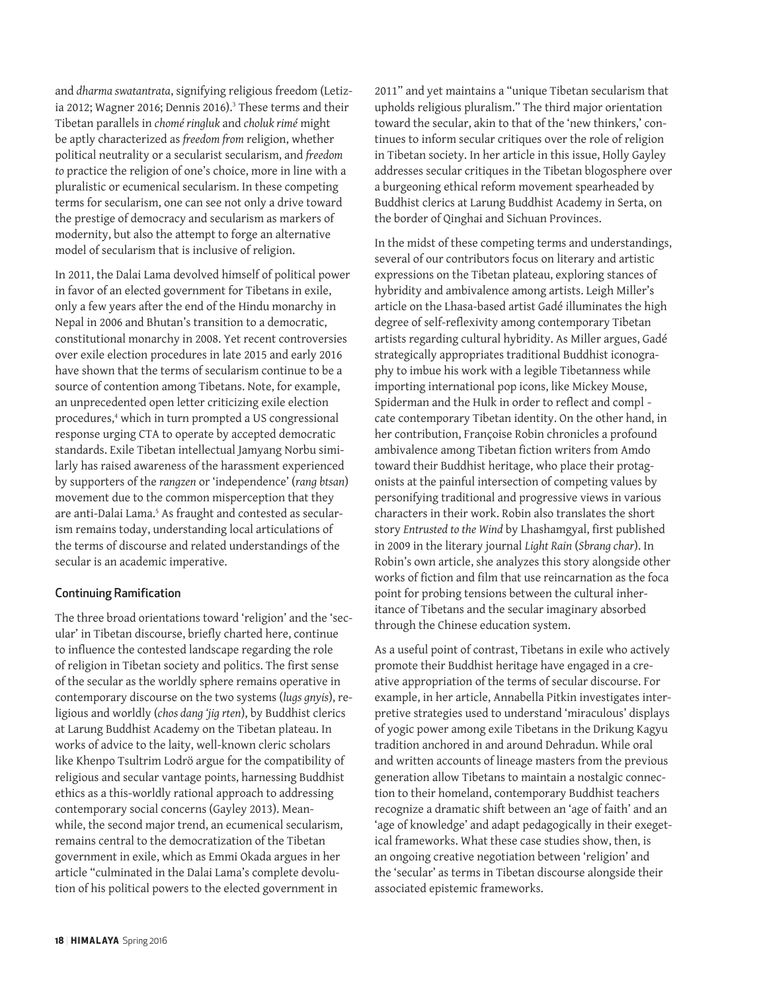and *dharma swatantrata*, signifying religious freedom (Letizia 2012; Wagner 2016; Dennis 2016).<sup>3</sup> These terms and their Tibetan parallels in *chomé ringluk* and *choluk rimé* might be aptly characterized as *freedom from* religion, whether political neutrality or a secularist secularism, and *freedom to* practice the religion of one's choice, more in line with a pluralistic or ecumenical secularism. In these competing terms for secularism, one can see not only a drive toward the prestige of democracy and secularism as markers of modernity, but also the attempt to forge an alternative model of secularism that is inclusive of religion.

In 2011, the Dalai Lama devolved himself of political power in favor of an elected government for Tibetans in exile, only a few years after the end of the Hindu monarchy in Nepal in 2006 and Bhutan's transition to a democratic, constitutional monarchy in 2008. Yet recent controversies over exile election procedures in late 2015 and early 2016 have shown that the terms of secularism continue to be a source of contention among Tibetans. Note, for example, an unprecedented open letter criticizing exile election procedures,<sup>4</sup> which in turn prompted a US congressional response urging CTA to operate by accepted democratic standards. Exile Tibetan intellectual Jamyang Norbu similarly has raised awareness of the harassment experienced by supporters of the *rangzen* or 'independence' (*rang btsan*) movement due to the common misperception that they are anti-Dalai Lama.<sup>5</sup> As fraught and contested as secularism remains today, understanding local articulations of the terms of discourse and related understandings of the secular is an academic imperative.

#### Continuing Ramification

The three broad orientations toward 'religion' and the 'secular' in Tibetan discourse, briefly charted here, continue to influence the contested landscape regarding the role of religion in Tibetan society and politics. The first sense of the secular as the worldly sphere remains operative in contemporary discourse on the two systems (*lugs gnyis*), religious and worldly (*chos dang 'jig rten*), by Buddhist clerics at Larung Buddhist Academy on the Tibetan plateau. In works of advice to the laity, well-known cleric scholars like Khenpo Tsultrim Lodrö argue for the compatibility of religious and secular vantage points, harnessing Buddhist ethics as a this-worldly rational approach to addressing contemporary social concerns (Gayley 2013). Meanwhile, the second major trend, an ecumenical secularism, remains central to the democratization of the Tibetan government in exile, which as Emmi Okada argues in her article "culminated in the Dalai Lama's complete devolution of his political powers to the elected government in

2011" and yet maintains a "unique Tibetan secularism that upholds religious pluralism." The third major orientation toward the secular, akin to that of the 'new thinkers,' continues to inform secular critiques over the role of religion in Tibetan society. In her article in this issue, Holly Gayley addresses secular critiques in the Tibetan blogosphere over a burgeoning ethical reform movement spearheaded by Buddhist clerics at Larung Buddhist Academy in Serta, on the border of Qinghai and Sichuan Provinces.

In the midst of these competing terms and understandings, several of our contributors focus on literary and artistic expressions on the Tibetan plateau, exploring stances of hybridity and ambivalence among artists. Leigh Miller's article on the Lhasa-based artist Gadé illuminates the high degree of self-reflexivity among contemporary Tibetan artists regarding cultural hybridity. As Miller argues, Gadé strategically appropriates traditional Buddhist iconography to imbue his work with a legible Tibetanness while importing international pop icons, like Mickey Mouse, Spiderman and the Hulk in order to reflect and compl cate contemporary Tibetan identity. On the other hand, in her contribution, Françoise Robin chronicles a profound ambivalence among Tibetan fiction writers from Amdo toward their Buddhist heritage, who place their protagonists at the painful intersection of competing values by personifying traditional and progressive views in various characters in their work. Robin also translates the short story *Entrusted to the Wind* by Lhashamgyal, first published in 2009 in the literary journal *Light Rain* (*Sbrang char*). In Robin's own article, she analyzes this story alongside other works of fiction and film that use reincarnation as the foca point for probing tensions between the cultural inheritance of Tibetans and the secular imaginary absorbed through the Chinese education system.

As a useful point of contrast, Tibetans in exile who actively promote their Buddhist heritage have engaged in a creative appropriation of the terms of secular discourse. For example, in her article, Annabella Pitkin investigates interpretive strategies used to understand 'miraculous' displays of yogic power among exile Tibetans in the Drikung Kagyu tradition anchored in and around Dehradun. While oral and written accounts of lineage masters from the previous generation allow Tibetans to maintain a nostalgic connection to their homeland, contemporary Buddhist teachers recognize a dramatic shift between an 'age of faith' and an 'age of knowledge' and adapt pedagogically in their exegetical frameworks. What these case studies show, then, is an ongoing creative negotiation between 'religion' and the 'secular' as terms in Tibetan discourse alongside their associated epistemic frameworks.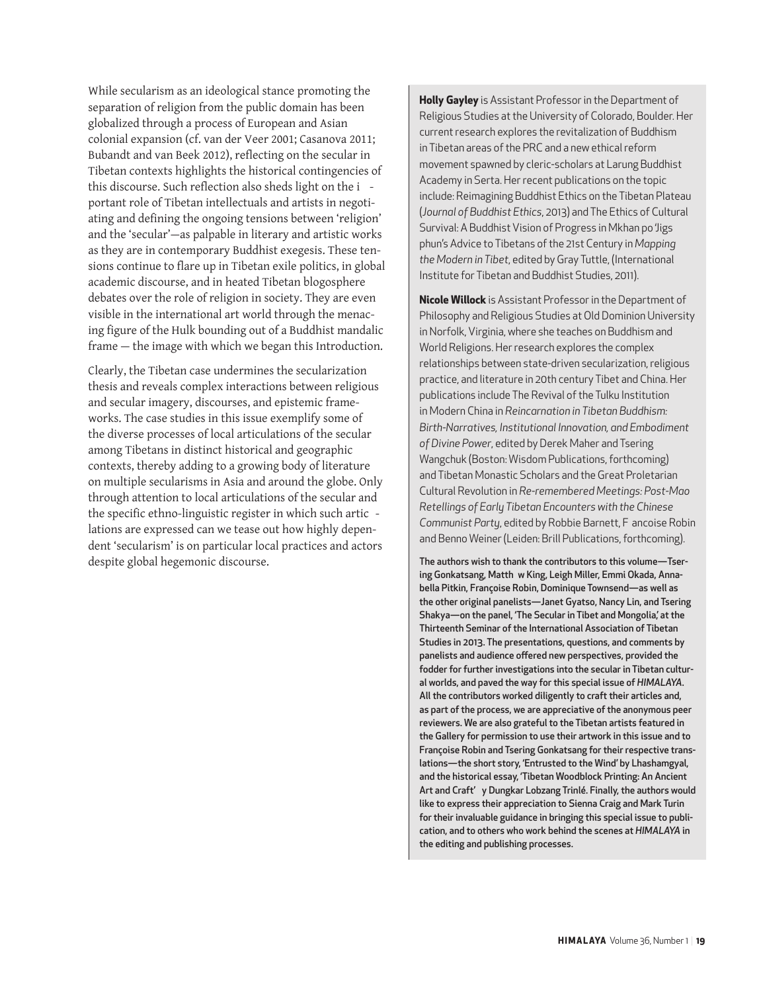While secularism as an ideological stance promoting the separation of religion from the public domain has been globalized through a process of European and Asian colonial expansion (cf. van der Veer 2001; Casanova 2011; Bubandt and van Beek 2012), reflecting on the secular in Tibetan contexts highlights the historical contingencies of this discourse. Such reflection also sheds light on the i portant role of Tibetan intellectuals and artists in negotiating and defining the ongoing tensions between 'religion' and the 'secular'—as palpable in literary and artistic works as they are in contemporary Buddhist exegesis. These tensions continue to flare up in Tibetan exile politics, in global academic discourse, and in heated Tibetan blogosphere debates over the role of religion in society. They are even visible in the international art world through the menacing figure of the Hulk bounding out of a Buddhist mandalic frame — the image with which we began this Introduction.

Clearly, the Tibetan case undermines the secularization thesis and reveals complex interactions between religious and secular imagery, discourses, and epistemic frameworks. The case studies in this issue exemplify some of the diverse processes of local articulations of the secular among Tibetans in distinct historical and geographic contexts, thereby adding to a growing body of literature on multiple secularisms in Asia and around the globe. Only through attention to local articulations of the secular and the specific ethno-linguistic register in which such artic lations are expressed can we tease out how highly dependent 'secularism' is on particular local practices and actors despite global hegemonic discourse.

**Holly Gayley** is Assistant Professor in the Department of Religious Studies at the University of Colorado, Boulder. Her current research explores the revitalization of Buddhism in Tibetan areas of the PRC and a new ethical reform movement spawned by cleric-scholars at Larung Buddhist Academy in Serta. Her recent publications on the topic include: Reimagining Buddhist Ethics on the Tibetan Plateau (*Journal of Buddhist Ethics*, 2013) and The Ethics of Cultural Survival: A Buddhist Vision of Progress in Mkhan po 'Jigs phun's Advice to Tibetans of the 21st Century in *Mapping the Modern in Tibet*, edited by Gray Tuttle, (International Institute for Tibetan and Buddhist Studies, 2011).

**Nicole Willock** is Assistant Professor in the Department of Philosophy and Religious Studies at Old Dominion University in Norfolk, Virginia, where she teaches on Buddhism and World Religions. Her research explores the complex relationships between state-driven secularization, religious practice, and literature in 20th century Tibet and China. Her publications include The Revival of the Tulku Institution in Modern China in *Reincarnation in Tibetan Buddhism: Birth-Narratives, Institutional Innovation, and Embodiment of Divine Power*, edited by Derek Maher and Tsering Wangchuk (Boston: Wisdom Publications, forthcoming) and Tibetan Monastic Scholars and the Great Proletarian Cultural Revolution in *Re-remembered Meetings: Post-Mao Retellings of Early Tibetan Encounters with the Chinese Communist Party*, edited by Robbie Barnett, F ancoise Robin and Benno Weiner (Leiden: Brill Publications, forthcoming).

The authors wish to thank the contributors to this volume—Tsering Gonkatsang, Matth w King, Leigh Miller, Emmi Okada, Annabella Pitkin, Françoise Robin, Dominique Townsend—as well as the other original panelists—Janet Gyatso, Nancy Lin, and Tsering Shakya—on the panel, 'The Secular in Tibet and Mongolia,' at the Thirteenth Seminar of the International Association of Tibetan Studies in 2013. The presentations, questions, and comments by panelists and audience offered new perspectives, provided the fodder for further investigations into the secular in Tibetan cultural worlds, and paved the way for this special issue of *HIMALAYA*. All the contributors worked diligently to craft their articles and, as part of the process, we are appreciative of the anonymous peer reviewers. We are also grateful to the Tibetan artists featured in the Gallery for permission to use their artwork in this issue and to Françoise Robin and Tsering Gonkatsang for their respective translations—the short story, 'Entrusted to the Wind' by Lhashamgyal, and the historical essay, 'Tibetan Woodblock Printing: An Ancient Art and Craft' y Dungkar Lobzang Trinlé. Finally, the authors would like to express their appreciation to Sienna Craig and Mark Turin for their invaluable guidance in bringing this special issue to publication, and to others who work behind the scenes at *HIMALAYA* in the editing and publishing processes.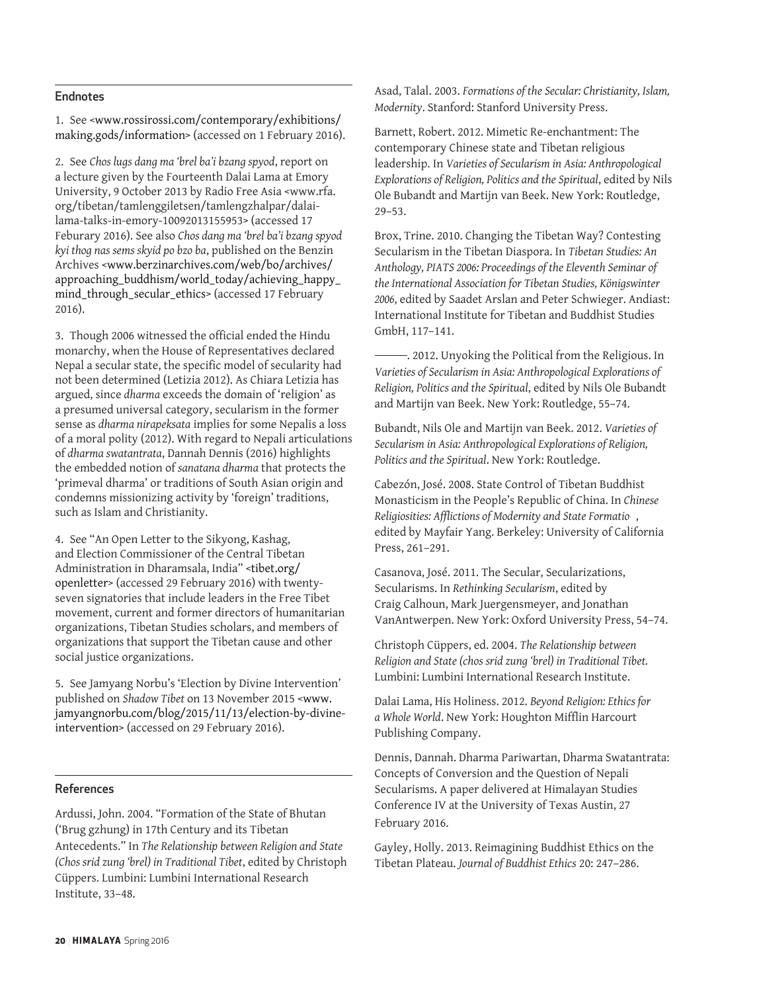#### Endnotes

1. See <[www.rossirossi.com/contemporary/exhibitions/](http://www.rossirossi.com/contemporary/exhibitions/making.gods/information) [making.gods/information](http://www.rossirossi.com/contemporary/exhibitions/making.gods/information)> (accessed on 1 February 2016).

2. See *Chos lugs dang ma 'brel ba'i bzang spyod*, report on a lecture given by the Fourteenth Dalai Lama at Emory University, 9 October 2013 by Radio Free Asia <www.rfa. org/tibetan/tamlenggiletsen/tamlengzhalpar/dalailama-talks-in-emory-10092013155953> (accessed 17 Feburary 2016). See also *Chos dang ma 'brel ba'i bzang spyod kyi thog nas sems skyid po bzo ba*, published on the Benzin Archives <[www.berzinarchives.com/web/bo/archives/](http://www.berzinarchives.com/web/bo/archives/approaching_buddhism/world_today/achieving_happy_mind_through_secular_ethics) [approaching\\_buddhism/world\\_today/achieving\\_happy\\_](http://www.berzinarchives.com/web/bo/archives/approaching_buddhism/world_today/achieving_happy_mind_through_secular_ethics) [mind\\_through\\_secular\\_ethics](http://www.berzinarchives.com/web/bo/archives/approaching_buddhism/world_today/achieving_happy_mind_through_secular_ethics)> (accessed 17 February 2016).

3. Though 2006 witnessed the official ended the Hindu monarchy, when the House of Representatives declared Nepal a secular state, the specific model of secularity had not been determined (Letizia 2012). As Chiara Letizia has argued, since *dharma* exceeds the domain of 'religion' as a presumed universal category, secularism in the former sense as *dharma nirapeksata* implies for some Nepalis a loss of a moral polity (2012). With regard to Nepali articulations of *dharma swatantrata*, Dannah Dennis (2016) highlights the embedded notion of *sanatana dharma* that protects the 'primeval dharma' or traditions of South Asian origin and condemns missionizing activity by 'foreign' traditions, such as Islam and Christianity.

4. See "An Open Letter to the Sikyong, Kashag, and Election Commissioner of the Central Tibetan Administration in Dharamsala, India" [<tibet.org/](http://tibet.org/openletter) [openletter](http://tibet.org/openletter)> (accessed 29 February 2016) with twentyseven signatories that include leaders in the Free Tibet movement, current and former directors of humanitarian organizations, Tibetan Studies scholars, and members of organizations that support the Tibetan cause and other social justice organizations.

5. See Jamyang Norbu's 'Election by Divine Intervention' published on *Shadow Tibet* on 13 November 2015 <[www.](http://www.jamyangnorbu.com/blog/2015/11/13/election-by-divine-intervention) [jamyangnorbu.com/blog/2015/11/13/election-by-divine](http://www.jamyangnorbu.com/blog/2015/11/13/election-by-divine-intervention)[intervention](http://www.jamyangnorbu.com/blog/2015/11/13/election-by-divine-intervention)> (accessed on 29 February 2016).

#### References

Ardussi, John. 2004. "Formation of the State of Bhutan ('Brug gzhung) in 17th Century and its Tibetan Antecedents." In *The Relationship between Religion and State (Chos srid zung 'brel) in Traditional Tibet*, edited by Christoph Cüppers. Lumbini: Lumbini International Research Institute, 33–48.

Asad, Talal. 2003. *Formations of the Secular: Christianity, Islam, Modernity*. Stanford: Stanford University Press.

Barnett, Robert. 2012. Mimetic Re-enchantment: The contemporary Chinese state and Tibetan religious leadership. In *Varieties of Secularism in Asia: Anthropological Explorations of Religion, Politics and the Spiritual*, edited by Nils Ole Bubandt and Martijn van Beek. New York: Routledge, 29–53.

Brox, Trine. 2010. Changing the Tibetan Way? Contesting Secularism in the Tibetan Diaspora. In *Tibetan Studies: An Anthology, PIATS 2006: Proceedings of the Eleventh Seminar of the International Association for Tibetan Studies, Königswinter 2006*, edited by Saadet Arslan and Peter Schwieger. Andiast: International Institute for Tibetan and Buddhist Studies GmbH, 117–141.

 . 2012. Unyoking the Political from the Religious. In *Varieties of Secularism in Asia: Anthropological Explorations of Religion, Politics and the Spiritual*, edited by Nils Ole Bubandt and Martijn van Beek. New York: Routledge, 55–74.

Bubandt, Nils Ole and Martijn van Beek. 2012. *Varieties of Secularism in Asia: Anthropological Explorations of Religion, Politics and the Spiritual*. New York: Routledge.

Cabezón, José. 2008. State Control of Tibetan Buddhist Monasticism in the People's Republic of China. In *Chinese Religiosities: Afflictions of Modernity and State Formatio* , edited by Mayfair Yang. Berkeley: University of California Press, 261–291.

Casanova, José. 2011. The Secular, Secularizations, Secularisms. In *Rethinking Secularism*, edited by Craig Calhoun, Mark Juergensmeyer, and Jonathan VanAntwerpen. New York: Oxford University Press, 54–74.

Christoph Cüppers, ed. 2004. *The Relationship between Religion and State (chos srid zung 'brel) in Traditional Tibet.* Lumbini: Lumbini International Research Institute.

Dalai Lama, His Holiness. 2012. *Beyond Religion: Ethics for a Whole World*. New York: Houghton Mifflin Harcourt Publishing Company.

Dennis, Dannah. Dharma Pariwartan, Dharma Swatantrata: Concepts of Conversion and the Question of Nepali Secularisms. A paper delivered at Himalayan Studies Conference IV at the University of Texas Austin, 27 February 2016.

Gayley, Holly. 2013. Reimagining Buddhist Ethics on the Tibetan Plateau. *Journal of Buddhist Ethics* 20: 247–286.